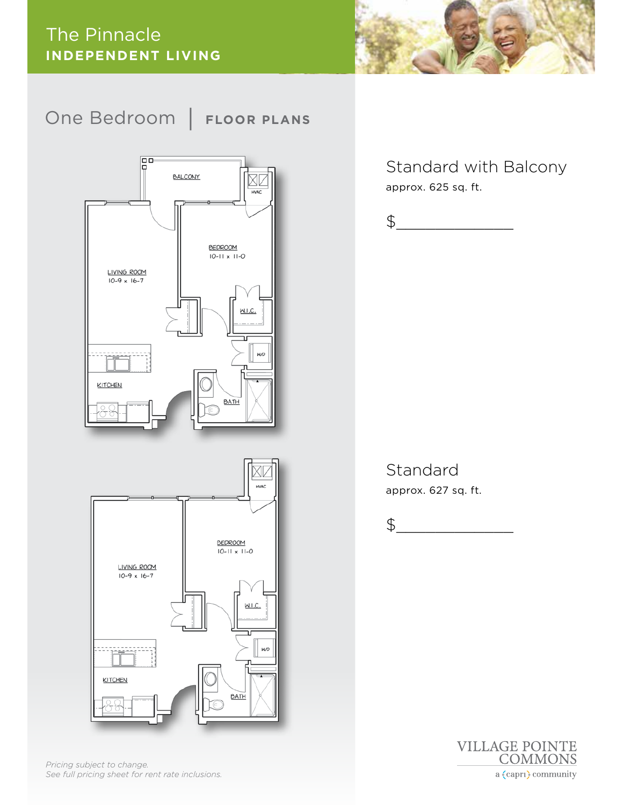#### The Pinnacle **INDEPENDENT LIVING**



### One Bedroom | **FLOOR PLANS**





*Pricing subject to change. See full pricing sheet for rent rate inclusions.* Standard with Balcony approx. 625 sq. ft.



Standard approx. 627 sq. ft.

$$
\texttt{\$}\_\_
$$

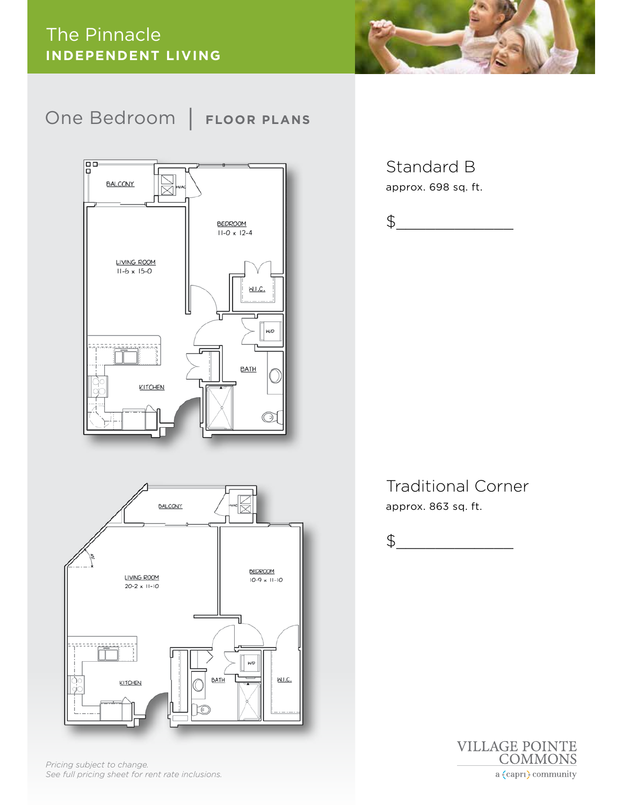



*Pricing subject to change. See full pricing sheet for rent rate inclusions.*

#### Standard B approx. 698 sq. ft.

$$
\texttt{\$}\_\_
$$

Traditional Corner approx. 863 sq. ft.

$$
\texttt{\$}\_\_
$$

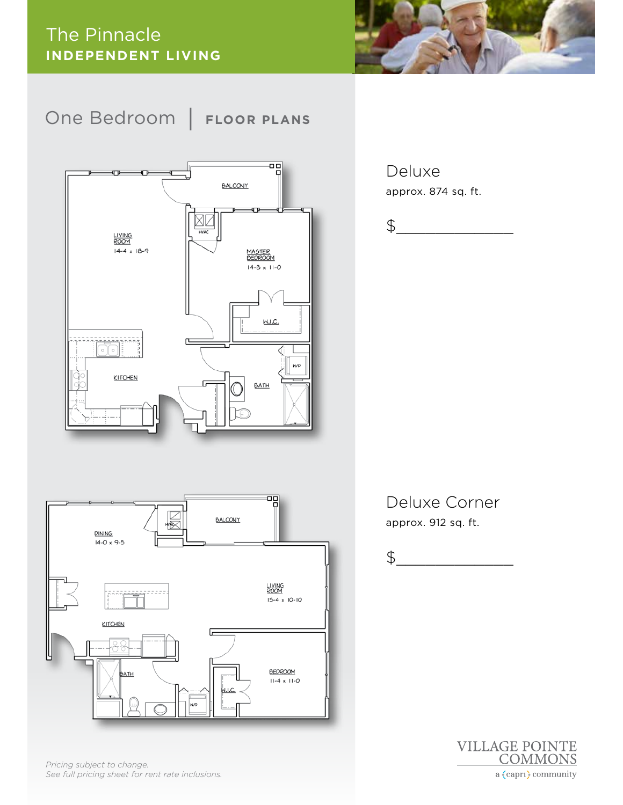



闯 M<br>M **BALCONY DINING**  $\frac{14-0 \times 9-5}{x}$ LIVING<br>ROOM  $15-4 \times 10-10$ KITCHEN Œ **BEDROOM** ATH  $11-4 \times 11-0$ <u>W.I.C.</u> wр

*Pricing subject to change. See full pricing sheet for rent rate inclusions.*

Deluxe approx. 874 sq. ft.

$$
\texttt{\$}\_\_
$$

#### Deluxe Corner approx. 912 sq. ft.

$$
\texttt{\$}\_\_
$$

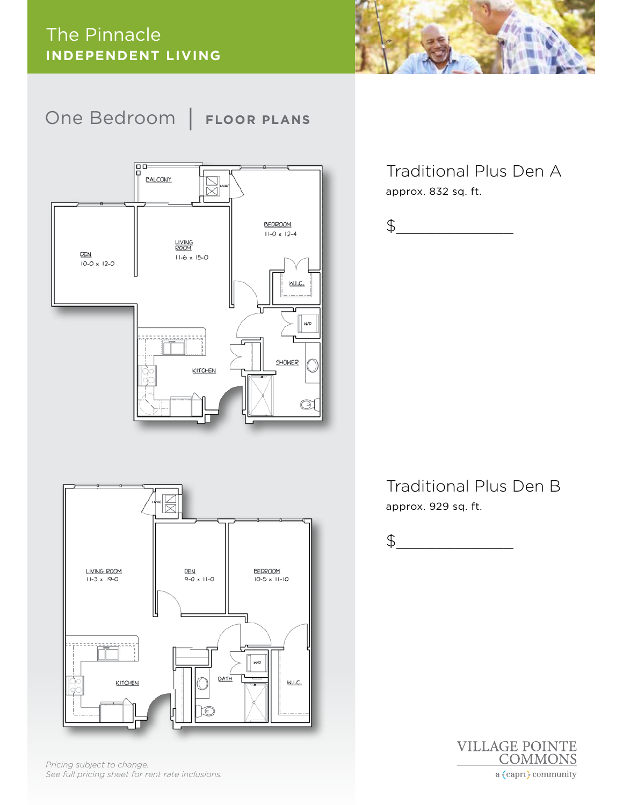



Traditional Plus Den A approx. 832 sq. ft.

$$
\texttt{\$}\_\_
$$

Traditional Plus Den B approx. 929 sq. ft.

$$
\texttt{\$}\_\_
$$





*Pricing subject to change. See full pricing sheet for rent rate inclusions.*